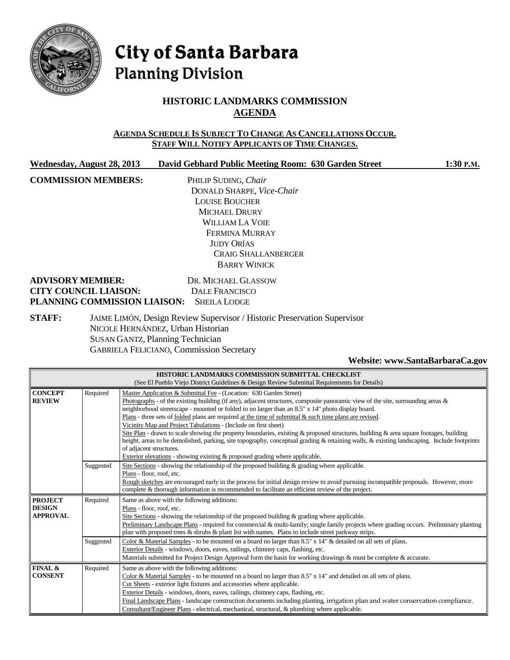

# City of Santa Barbara **Planning Division**

# **HISTORIC LANDMARKS COMMISSION AGENDA**

#### **AGENDA SCHEDULE IS SUBJECT TO CHANGE AS CANCELLATIONS OCCUR. STAFF WILL NOTIFY APPLICANTS OF TIME CHANGES.**

| Wednesday, August 28, 2013 | David Gebhard Public Meeting Room: 630 Garden Street | $1:30$ P.M. |
|----------------------------|------------------------------------------------------|-------------|
|                            |                                                      |             |

**COMMISSION MEMBERS:** PHILIP SUDING, *Chair* DONALD SHARPE, *Vice-Chair* LOUISE BOUCHER MICHAEL DRURY WILLIAM LA VOIE FERMINA MURRAY JUDY ORÍAS CRAIG SHALLANBERGER BARRY WINICK

#### **ADVISORY MEMBER:** DR. MICHAEL GLASSOW **CITY COUNCIL LIAISON:** DALE FRANCISCO **PLANNING COMMISSION LIAISON:** SHEILA LODGE

**STAFF:** JAIME LIMÓN, Design Review Supervisor / Historic Preservation Supervisor NICOLE HERNÁNDEZ, Urban Historian SUSAN GANTZ, Planning Technician GABRIELA FELICIANO, Commission Secretary

#### **Website[: www.SantaBarbaraCa.gov](http://www.santabarbaraca.gov/)**

| HISTORIC LANDMARKS COMMISSION SUBMITTAL CHECKLIST                                            |                                                                                                                                    |                                                                                                                                            |  |  |
|----------------------------------------------------------------------------------------------|------------------------------------------------------------------------------------------------------------------------------------|--------------------------------------------------------------------------------------------------------------------------------------------|--|--|
| (See El Pueblo Viejo District Guidelines & Design Review Submittal Requirements for Details) |                                                                                                                                    |                                                                                                                                            |  |  |
| <b>CONCEPT</b>                                                                               | Required                                                                                                                           | Master Application & Submittal Fee - (Location: 630 Garden Street)                                                                         |  |  |
| <b>REVIEW</b>                                                                                | Photographs - of the existing building (if any), adjacent structures, composite panoramic view of the site, surrounding areas $\&$ |                                                                                                                                            |  |  |
|                                                                                              |                                                                                                                                    | neighborhood streetscape - mounted or folded to no larger than an 8.5" x 14" photo display board.                                          |  |  |
|                                                                                              |                                                                                                                                    | Plans - three sets of folded plans are required at the time of submittal $\&$ each time plans are revised.                                 |  |  |
|                                                                                              |                                                                                                                                    | Vicinity Map and Project Tabulations - (Include on first sheet)                                                                            |  |  |
|                                                                                              |                                                                                                                                    | Site Plan - drawn to scale showing the property boundaries, existing & proposed structures, building & area square footages, building      |  |  |
|                                                                                              |                                                                                                                                    | height, areas to be demolished, parking, site topography, conceptual grading & retaining walls, & existing landscaping. Include footprints |  |  |
|                                                                                              |                                                                                                                                    | of adjacent structures.                                                                                                                    |  |  |
|                                                                                              |                                                                                                                                    | Exterior elevations - showing existing $\&$ proposed grading where applicable.                                                             |  |  |
|                                                                                              | Suggested                                                                                                                          | Site Sections - showing the relationship of the proposed building & grading where applicable.                                              |  |  |
|                                                                                              |                                                                                                                                    | Plans - floor, roof, etc.                                                                                                                  |  |  |
|                                                                                              |                                                                                                                                    | Rough sketches are encouraged early in the process for initial design review to avoid pursuing incompatible proposals. However, more       |  |  |
|                                                                                              |                                                                                                                                    | complete & thorough information is recommended to facilitate an efficient review of the project.                                           |  |  |
| <b>PROJECT</b>                                                                               | Required                                                                                                                           | Same as above with the following additions:                                                                                                |  |  |
| <b>DESIGN</b>                                                                                |                                                                                                                                    | Plans - floor, roof, etc.                                                                                                                  |  |  |
| <b>APPROVAL</b>                                                                              |                                                                                                                                    | Site Sections - showing the relationship of the proposed building $\&$ grading where applicable.                                           |  |  |
|                                                                                              |                                                                                                                                    | Preliminary Landscape Plans - required for commercial & multi-family; single family projects where grading occurs. Preliminary planting    |  |  |
|                                                                                              |                                                                                                                                    | plan with proposed trees $\&$ shrubs $\&$ plant list with names. Plans to include street parkway strips.                                   |  |  |
|                                                                                              | Suggested                                                                                                                          | Color & Material Samples - to be mounted on a board no larger than 8.5" x 14" & detailed on all sets of plans.                             |  |  |
|                                                                                              |                                                                                                                                    | Exterior Details - windows, doors, eaves, railings, chimney caps, flashing, etc.                                                           |  |  |
|                                                                                              |                                                                                                                                    | Materials submitted for Project Design Approval form the basis for working drawings & must be complete & accurate.                         |  |  |
| FINAL &                                                                                      | Required                                                                                                                           | Same as above with the following additions:                                                                                                |  |  |
| <b>CONSENT</b>                                                                               |                                                                                                                                    | Color & Material Samples - to be mounted on a board no larger than $8.5" \times 14"$ and detailed on all sets of plans.                    |  |  |
|                                                                                              |                                                                                                                                    | Cut Sheets - exterior light fixtures and accessories where applicable.                                                                     |  |  |
|                                                                                              |                                                                                                                                    | Exterior Details - windows, doors, eaves, railings, chimney caps, flashing, etc.                                                           |  |  |
|                                                                                              |                                                                                                                                    | Final Landscape Plans - landscape construction documents including planting, irrigation plan and water conservation compliance.            |  |  |
|                                                                                              |                                                                                                                                    | Consultant/Engineer Plans - electrical, mechanical, structural, & plumbing where applicable.                                               |  |  |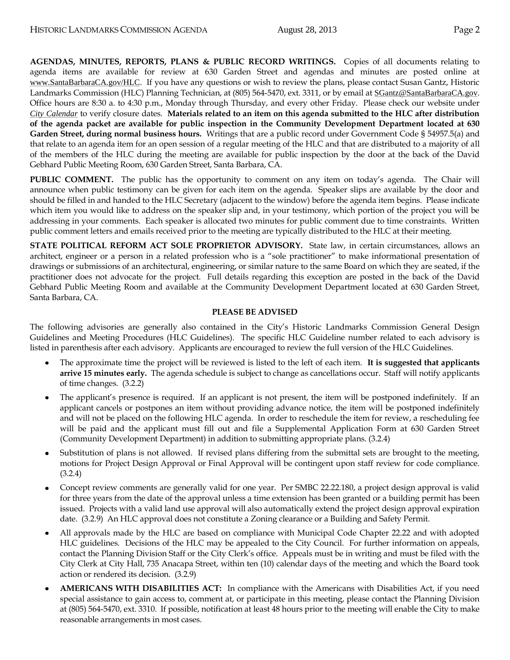**AGENDAS, MINUTES, REPORTS, PLANS & PUBLIC RECORD WRITINGS.** Copies of all documents relating to agenda items are available for review at 630 Garden Street and agendas and minutes are posted online at [www.SantaBarbaraCA.gov/HLC](http://www.santabarbaraca.gov/HLC). If you have any questions or wish to review the plans, please contact Susan Gantz, Historic Landmarks Commission (HLC) Planning Technician, at (805) 564-5470, ext. 3311, or by email at [SGantz@SantaBarbaraCA.gov](mailto:SGantz@SantaBarbaraCA.gov). Office hours are 8:30 a. to 4:30 p.m., Monday through Thursday, and every other Friday. Please check our website under *City [Calendar](http://www.santabarbaraca.gov/calendar)* to verify closure dates. **Materials related to an item on this agenda submitted to the HLC after distribution of the agenda packet are available for public inspection in the Community Development Department located at 630 Garden Street, during normal business hours.** Writings that are a public record under Government Code § 54957.5(a) and that relate to an agenda item for an open session of a regular meeting of the HLC and that are distributed to a majority of all of the members of the HLC during the meeting are available for public inspection by the door at the back of the David Gebhard Public Meeting Room, 630 Garden Street, Santa Barbara, CA.

**PUBLIC COMMENT.** The public has the opportunity to comment on any item on today's agenda. The Chair will announce when public testimony can be given for each item on the agenda. Speaker slips are available by the door and should be filled in and handed to the HLC Secretary (adjacent to the window) before the agenda item begins. Please indicate which item you would like to address on the speaker slip and, in your testimony, which portion of the project you will be addressing in your comments. Each speaker is allocated two minutes for public comment due to time constraints. Written public comment letters and emails received prior to the meeting are typically distributed to the HLC at their meeting.

**STATE POLITICAL REFORM ACT SOLE PROPRIETOR ADVISORY.** State law, in certain circumstances, allows an architect, engineer or a person in a related profession who is a "sole practitioner" to make informational presentation of drawings or submissions of an architectural, engineering, or similar nature to the same Board on which they are seated, if the practitioner does not advocate for the project. Full details regarding this exception are posted in the back of the David Gebhard Public Meeting Room and available at the Community Development Department located at 630 Garden Street, Santa Barbara, CA.

#### **PLEASE BE ADVISED**

The following advisories are generally also contained in the City's Historic Landmarks Commission General Design Guidelines and Meeting Procedures (HLC Guidelines). The specific HLC Guideline number related to each advisory is listed in parenthesis after each advisory. Applicants are encouraged to review the full version of the HLC Guidelines.

- The approximate time the project will be reviewed is listed to the left of each item. **It is suggested that applicants arrive 15 minutes early.** The agenda schedule is subject to change as cancellations occur. Staff will notify applicants of time changes. (3.2.2)
- The applicant's presence is required. If an applicant is not present, the item will be postponed indefinitely. If an applicant cancels or postpones an item without providing advance notice, the item will be postponed indefinitely and will not be placed on the following HLC agenda. In order to reschedule the item for review, a rescheduling fee will be paid and the applicant must fill out and file a Supplemental Application Form at 630 Garden Street (Community Development Department) in addition to submitting appropriate plans. (3.2.4)
- Substitution of plans is not allowed. If revised plans differing from the submittal sets are brought to the meeting, motions for Project Design Approval or Final Approval will be contingent upon staff review for code compliance. (3.2.4)
- Concept review comments are generally valid for one year. Per SMBC 22.22.180, a project design approval is valid for three years from the date of the approval unless a time extension has been granted or a building permit has been issued. Projects with a valid land use approval will also automatically extend the project design approval expiration date. (3.2.9) An HLC approval does not constitute a Zoning clearance or a Building and Safety Permit.
- All approvals made by the HLC are based on compliance with Municipal Code Chapter 22.22 and with adopted HLC guidelines. Decisions of the HLC may be appealed to the City Council. For further information on appeals, contact the Planning Division Staff or the City Clerk's office. Appeals must be in writing and must be filed with the City Clerk at City Hall, 735 Anacapa Street, within ten (10) calendar days of the meeting and which the Board took action or rendered its decision. (3.2.9)
- **AMERICANS WITH DISABILITIES ACT:** In compliance with the Americans with Disabilities Act, if you need special assistance to gain access to, comment at, or participate in this meeting, please contact the Planning Division at (805) 564-5470, ext. 3310. If possible, notification at least 48 hours prior to the meeting will enable the City to make reasonable arrangements in most cases.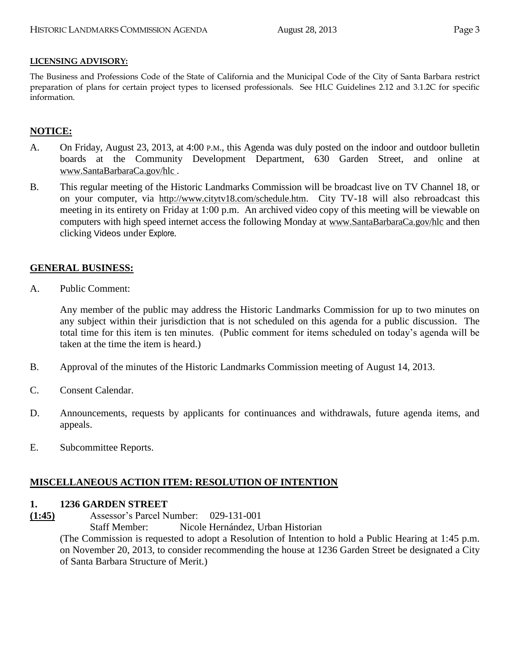#### **LICENSING ADVISORY:**

The Business and Professions Code of the State of California and the Municipal Code of the City of Santa Barbara restrict preparation of plans for certain project types to licensed professionals. See HLC Guidelines 2.12 and 3.1.2C for specific information.

#### **NOTICE:**

- A. On Friday, August 23, 2013, at 4:00 P.M., this Agenda was duly posted on the indoor and outdoor bulletin boards at the Community Development Department, 630 Garden Street, and online at [www.SantaBarbaraCa.gov/hlc](http://www.santabarbaraca.gov/hlc) .
- B. This regular meeting of the Historic Landmarks Commission will be broadcast live on TV Channel 18, or on your computer, via <http://www.citytv18.com/schedule.htm>. City TV-18 will also rebroadcast this meeting in its entirety on Friday at 1:00 p.m. An archived video copy of this meeting will be viewable on computers with high speed internet access the following Monday at [www.SantaBarbaraCa.gov/hlc](http://www.santabarbaraca.gov/hlc) and then clicking Videos under Explore*.*

#### **GENERAL BUSINESS:**

A. Public Comment:

Any member of the public may address the Historic Landmarks Commission for up to two minutes on any subject within their jurisdiction that is not scheduled on this agenda for a public discussion. The total time for this item is ten minutes. (Public comment for items scheduled on today's agenda will be taken at the time the item is heard.)

- B. Approval of the minutes of the Historic Landmarks Commission meeting of August 14, 2013.
- C. Consent Calendar.
- D. Announcements, requests by applicants for continuances and withdrawals, future agenda items, and appeals.
- E. Subcommittee Reports.

#### **MISCELLANEOUS ACTION ITEM: RESOLUTION OF INTENTION**

#### **1. 1236 GARDEN STREET**

**(1:45)** Assessor's Parcel Number: 029-131-001

Staff Member: Nicole Hernández, Urban Historian

(The Commission is requested to adopt a Resolution of Intention to hold a Public Hearing at 1:45 p.m. on November 20, 2013, to consider recommending the house at 1236 Garden Street be designated a City of Santa Barbara Structure of Merit.)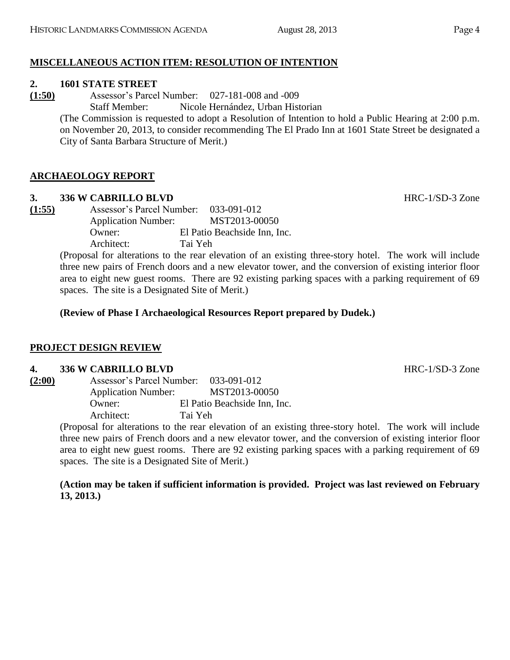# **MISCELLANEOUS ACTION ITEM: RESOLUTION OF INTENTION**

#### **2. 1601 STATE STREET**

**(1:50)** Assessor's Parcel Number: 027-181-008 and -009 Staff Member: Nicole Hernández, Urban Historian

> (The Commission is requested to adopt a Resolution of Intention to hold a Public Hearing at 2:00 p.m. on November 20, 2013, to consider recommending The El Prado Inn at 1601 State Street be designated a City of Santa Barbara Structure of Merit.)

# **ARCHAEOLOGY REPORT**

## **3. 336 W CABRILLO BLVD HRC-1/SD-3 Zone**

**(1:55)** Assessor's Parcel Number: 033-091-012 Application Number: MST2013-00050 Owner: El Patio Beachside Inn, Inc. Architect: Tai Yeh

> (Proposal for alterations to the rear elevation of an existing three-story hotel. The work will include three new pairs of French doors and a new elevator tower, and the conversion of existing interior floor area to eight new guest rooms. There are 92 existing parking spaces with a parking requirement of 69 spaces. The site is a Designated Site of Merit.)

**(Review of Phase I Archaeological Resources Report prepared by Dudek.)**

## **PROJECT DESIGN REVIEW**

## **4. 336 W CABRILLO BLVD HRC-1/SD-3 Zone**

**(2:00)** Assessor's Parcel Number: 033-091-012 Application Number: MST2013-00050 Owner: El Patio Beachside Inn, Inc. Architect: Tai Yeh

(Proposal for alterations to the rear elevation of an existing three-story hotel. The work will include three new pairs of French doors and a new elevator tower, and the conversion of existing interior floor area to eight new guest rooms. There are 92 existing parking spaces with a parking requirement of 69 spaces. The site is a Designated Site of Merit.)

**(Action may be taken if sufficient information is provided. Project was last reviewed on February 13, 2013.)**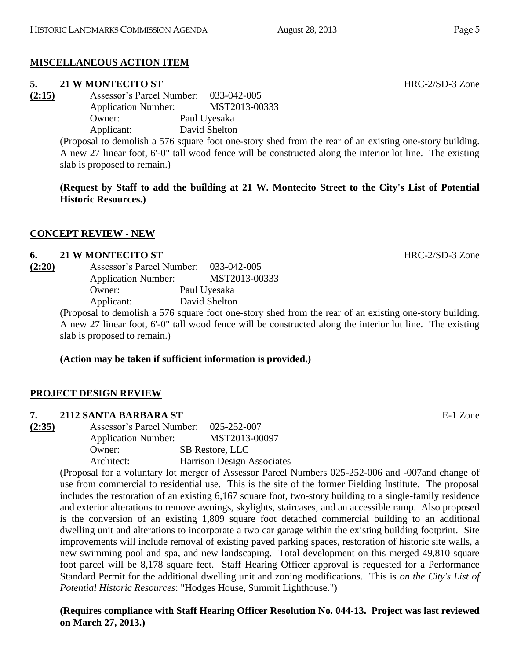# **MISCELLANEOUS ACTION ITEM**

## **5. 21 W MONTECITO ST** HRC-2/SD-3 Zone

**(2:15)** Assessor's Parcel Number: 033-042-005 Application Number: MST2013-00333 Owner: Paul Uyesaka Applicant: David Shelton

> (Proposal to demolish a 576 square foot one-story shed from the rear of an existing one-story building. A new 27 linear foot, 6'-0" tall wood fence will be constructed along the interior lot line. The existing slab is proposed to remain.)

> **(Request by Staff to add the building at 21 W. Montecito Street to the City's List of Potential Historic Resources.)**

# **CONCEPT REVIEW - NEW**

#### **6. 21 W MONTECITO ST** HRC-2/SD-3 Zone

| (2:20) | Assessor's Parcel Number:                              | 033-042-005   |
|--------|--------------------------------------------------------|---------------|
|        | <b>Application Number:</b>                             | MST2013-00333 |
|        | Owner:                                                 | Paul Uyesaka  |
|        | Applicant:                                             | David Shelton |
|        | (Proposal to demolish a 576 square foot one-story shed |               |

(Proposal to demolish a 576 square foot one-story shed from the rear of an existing one-story building. A new 27 linear foot, 6'-0" tall wood fence will be constructed along the interior lot line. The existing slab is proposed to remain.)

# **(Action may be taken if sufficient information is provided.)**

# **PROJECT DESIGN REVIEW**

## **7. 2112 SANTA BARBARA ST** E-1 Zone

**(2:35)** Assessor's Parcel Number: 025-252-007 Application Number: MST2013-00097 Owner: SB Restore, LLC Architect: Harrison Design Associates

(Proposal for a voluntary lot merger of Assessor Parcel Numbers 025-252-006 and -007and change of use from commercial to residential use. This is the site of the former Fielding Institute. The proposal includes the restoration of an existing 6,167 square foot, two-story building to a single-family residence and exterior alterations to remove awnings, skylights, staircases, and an accessible ramp. Also proposed is the conversion of an existing 1,809 square foot detached commercial building to an additional dwelling unit and alterations to incorporate a two car garage within the existing building footprint. Site improvements will include removal of existing paved parking spaces, restoration of historic site walls, a new swimming pool and spa, and new landscaping. Total development on this merged 49,810 square foot parcel will be 8,178 square feet. Staff Hearing Officer approval is requested for a Performance Standard Permit for the additional dwelling unit and zoning modifications. This is *on the City's List of Potential Historic Resources*: "Hodges House, Summit Lighthouse.")

**(Requires compliance with Staff Hearing Officer Resolution No. 044-13. Project was last reviewed on March 27, 2013.)**